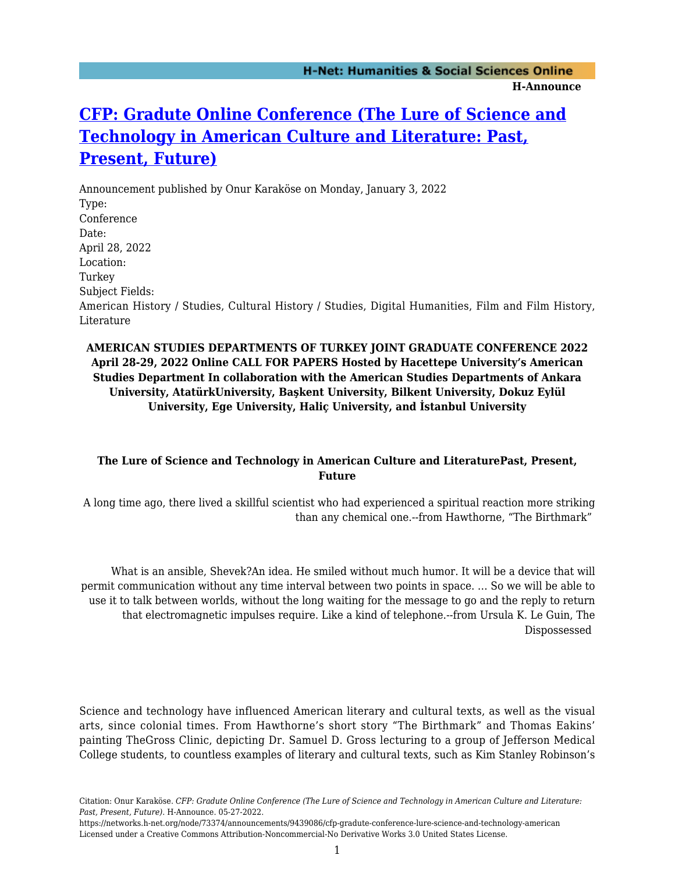## **[CFP: Gradute Online Conference \(The Lure of Science and](https://networks.h-net.org/node/73374/announcements/9439086/cfp-gradute-conference-lure-science-and-technology-american) [Technology in American Culture and Literature: Past,](https://networks.h-net.org/node/73374/announcements/9439086/cfp-gradute-conference-lure-science-and-technology-american) [Present, Future\)](https://networks.h-net.org/node/73374/announcements/9439086/cfp-gradute-conference-lure-science-and-technology-american)**

Announcement published by Onur Karaköse on Monday, January 3, 2022 Type: Conference Date: April 28, 2022 Location: Turkey Subject Fields: American History / Studies, Cultural History / Studies, Digital Humanities, Film and Film History, Literature

## **AMERICAN STUDIES DEPARTMENTS OF TURKEY JOINT GRADUATE CONFERENCE 2022 April 28-29, 2022 Online CALL FOR PAPERS Hosted by Hacettepe University's American Studies Department In collaboration with the American Studies Departments of Ankara University, AtatürkUniversity, Başkent University, Bilkent University, Dokuz Eylül University, Ege University, Haliç University, and İstanbul University**

## **The Lure of Science and Technology in American Culture and LiteraturePast, Present, Future**

A long time ago, there lived a skillful scientist who had experienced a spiritual reaction more striking than any chemical one.--from Hawthorne, "The Birthmark"

What is an ansible, Shevek?An idea. He smiled without much humor. It will be a device that will permit communication without any time interval between two points in space. … So we will be able to use it to talk between worlds, without the long waiting for the message to go and the reply to return that electromagnetic impulses require. Like a kind of telephone.--from Ursula K. Le Guin, The Dispossessed

Science and technology have influenced American literary and cultural texts, as well as the visual arts, since colonial times. From Hawthorne's short story "The Birthmark" and Thomas Eakins' painting TheGross Clinic, depicting Dr. Samuel D. Gross lecturing to a group of Jefferson Medical College students, to countless examples of literary and cultural texts, such as Kim Stanley Robinson's

Citation: Onur Karaköse. *CFP: Gradute Online Conference (The Lure of Science and Technology in American Culture and Literature: Past, Present, Future)*. H-Announce. 05-27-2022.

https://networks.h-net.org/node/73374/announcements/9439086/cfp-gradute-conference-lure-science-and-technology-american Licensed under a Creative Commons Attribution-Noncommercial-No Derivative Works 3.0 United States License.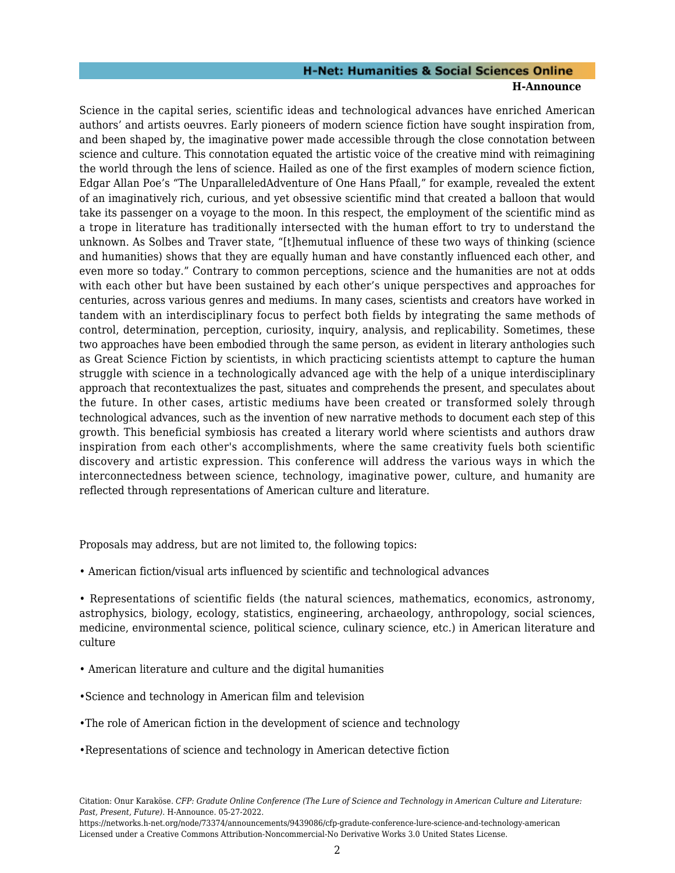# **H-Net: Humanities & Social Sciences Online**

#### **H-Announce**

Science in the capital series, scientific ideas and technological advances have enriched American authors' and artists oeuvres. Early pioneers of modern science fiction have sought inspiration from, and been shaped by, the imaginative power made accessible through the close connotation between science and culture. This connotation equated the artistic voice of the creative mind with reimagining the world through the lens of science. Hailed as one of the first examples of modern science fiction, Edgar Allan Poe's "The UnparalleledAdventure of One Hans Pfaall," for example, revealed the extent of an imaginatively rich, curious, and yet obsessive scientific mind that created a balloon that would take its passenger on a voyage to the moon. In this respect, the employment of the scientific mind as a trope in literature has traditionally intersected with the human effort to try to understand the unknown. As Solbes and Traver state, "[t]hemutual influence of these two ways of thinking (science and humanities) shows that they are equally human and have constantly influenced each other, and even more so today." Contrary to common perceptions, science and the humanities are not at odds with each other but have been sustained by each other's unique perspectives and approaches for centuries, across various genres and mediums. In many cases, scientists and creators have worked in tandem with an interdisciplinary focus to perfect both fields by integrating the same methods of control, determination, perception, curiosity, inquiry, analysis, and replicability. Sometimes, these two approaches have been embodied through the same person, as evident in literary anthologies such as Great Science Fiction by scientists, in which practicing scientists attempt to capture the human struggle with science in a technologically advanced age with the help of a unique interdisciplinary approach that recontextualizes the past, situates and comprehends the present, and speculates about the future. In other cases, artistic mediums have been created or transformed solely through technological advances, such as the invention of new narrative methods to document each step of this growth. This beneficial symbiosis has created a literary world where scientists and authors draw inspiration from each other's accomplishments, where the same creativity fuels both scientific discovery and artistic expression. This conference will address the various ways in which the interconnectedness between science, technology, imaginative power, culture, and humanity are reflected through representations of American culture and literature.

Proposals may address, but are not limited to, the following topics:

- American fiction/visual arts influenced by scientific and technological advances
- Representations of scientific fields (the natural sciences, mathematics, economics, astronomy, astrophysics, biology, ecology, statistics, engineering, archaeology, anthropology, social sciences, medicine, environmental science, political science, culinary science, etc.) in American literature and culture
- American literature and culture and the digital humanities
- •Science and technology in American film and television
- •The role of American fiction in the development of science and technology
- •Representations of science and technology in American detective fiction

Citation: Onur Karaköse. *CFP: Gradute Online Conference (The Lure of Science and Technology in American Culture and Literature: Past, Present, Future)*. H-Announce. 05-27-2022.

https://networks.h-net.org/node/73374/announcements/9439086/cfp-gradute-conference-lure-science-and-technology-american Licensed under a Creative Commons Attribution-Noncommercial-No Derivative Works 3.0 United States License.